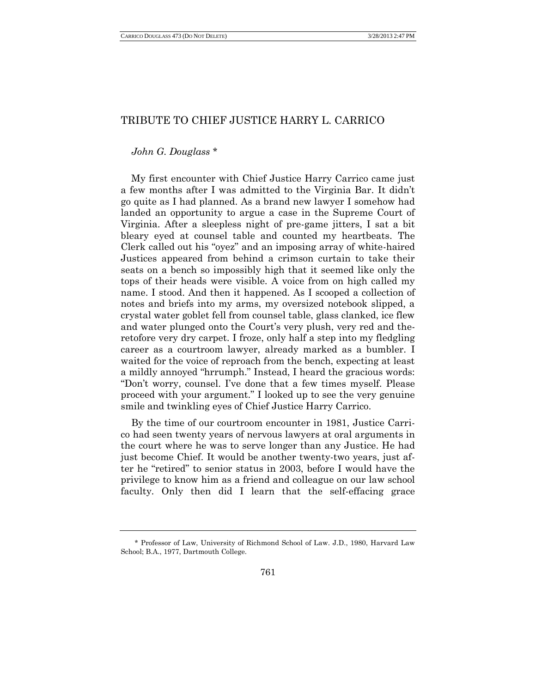## TRIBUTE TO CHIEF JUSTICE HARRY L. CARRICO

## *John G. Douglass* \*

My first encounter with Chief Justice Harry Carrico came just a few months after I was admitted to the Virginia Bar. It didn't go quite as I had planned. As a brand new lawyer I somehow had landed an opportunity to argue a case in the Supreme Court of Virginia. After a sleepless night of pre-game jitters, I sat a bit bleary eyed at counsel table and counted my heartbeats. The Clerk called out his "oyez" and an imposing array of white-haired Justices appeared from behind a crimson curtain to take their seats on a bench so impossibly high that it seemed like only the tops of their heads were visible. A voice from on high called my name. I stood. And then it happened. As I scooped a collection of notes and briefs into my arms, my oversized notebook slipped, a crystal water goblet fell from counsel table, glass clanked, ice flew and water plunged onto the Court's very plush, very red and theretofore very dry carpet. I froze, only half a step into my fledgling career as a courtroom lawyer, already marked as a bumbler. I waited for the voice of reproach from the bench, expecting at least a mildly annoyed "hrrumph." Instead, I heard the gracious words: "Don't worry, counsel. I've done that a few times myself. Please proceed with your argument." I looked up to see the very genuine smile and twinkling eyes of Chief Justice Harry Carrico.

By the time of our courtroom encounter in 1981, Justice Carrico had seen twenty years of nervous lawyers at oral arguments in the court where he was to serve longer than any Justice. He had just become Chief. It would be another twenty-two years, just after he "retired" to senior status in 2003, before I would have the privilege to know him as a friend and colleague on our law school faculty. Only then did I learn that the self-effacing grace

<sup>\*</sup> Professor of Law, University of Richmond School of Law. J.D., 1980, Harvard Law School; B.A., 1977, Dartmouth College.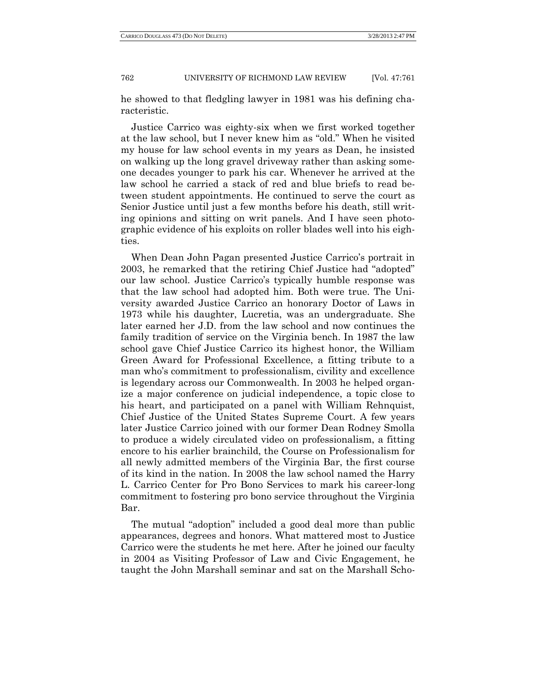## 762 UNIVERSITY OF RICHMOND LAW REVIEW [Vol. 47:761

he showed to that fledgling lawyer in 1981 was his defining characteristic.

Justice Carrico was eighty-six when we first worked together at the law school, but I never knew him as "old." When he visited my house for law school events in my years as Dean, he insisted on walking up the long gravel driveway rather than asking someone decades younger to park his car. Whenever he arrived at the law school he carried a stack of red and blue briefs to read between student appointments. He continued to serve the court as Senior Justice until just a few months before his death, still writing opinions and sitting on writ panels. And I have seen photographic evidence of his exploits on roller blades well into his eighties.

When Dean John Pagan presented Justice Carrico's portrait in 2003, he remarked that the retiring Chief Justice had "adopted" our law school. Justice Carrico's typically humble response was that the law school had adopted him. Both were true. The University awarded Justice Carrico an honorary Doctor of Laws in 1973 while his daughter, Lucretia, was an undergraduate. She later earned her J.D. from the law school and now continues the family tradition of service on the Virginia bench. In 1987 the law school gave Chief Justice Carrico its highest honor, the William Green Award for Professional Excellence, a fitting tribute to a man who's commitment to professionalism, civility and excellence is legendary across our Commonwealth. In 2003 he helped organize a major conference on judicial independence, a topic close to his heart, and participated on a panel with William Rehnquist, Chief Justice of the United States Supreme Court. A few years later Justice Carrico joined with our former Dean Rodney Smolla to produce a widely circulated video on professionalism, a fitting encore to his earlier brainchild, the Course on Professionalism for all newly admitted members of the Virginia Bar, the first course of its kind in the nation. In 2008 the law school named the Harry L. Carrico Center for Pro Bono Services to mark his career-long commitment to fostering pro bono service throughout the Virginia Bar.

The mutual "adoption" included a good deal more than public appearances, degrees and honors. What mattered most to Justice Carrico were the students he met here. After he joined our faculty in 2004 as Visiting Professor of Law and Civic Engagement, he taught the John Marshall seminar and sat on the Marshall Scho-